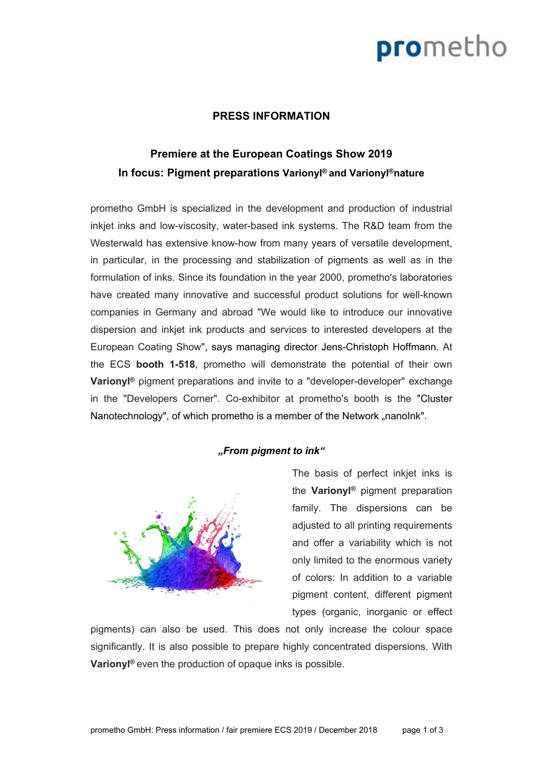# prometho

### **PRESS INFORMATION**

### **Premiere at the European Coatings Show 2019 In focus: Pigment preparations Varionyl ® and Varionyl ®nature**

prometho GmbH is specialized in the development and production of industrial inkjet inks and low-viscosity, water-based ink systems. The R&D team from the Westerwald has extensive know-how from many years of versatile development, in particular, in the processing and stabilization of pigments as well as in the formulation of inks. Since its foundation in the year 2000, prometho's laboratories have created many innovative and successful product solutions for well-known companies in Germany and abroad "We would like to introduce our innovative dispersion and inkjet ink products and services to interested developers at the European Coating Show", says managing director Jens-Christoph Hoffmann. At the ECS **booth 1-518**, prometho will demonstrate the potential of their own **Varionyl ®** pigment preparations and invite to a "developer-developer" exchange in the "Developers Corner". Co-exhibitor at prometho's booth is the "Cluster Nanotechnology", of which prometho is a member of the Network "nanolnk".

#### *From pigment to ink*



The basis of perfect inkjet inks is the **Varionyl ®** pigment preparation family. The dispersions can be adiusted to all printing requirements and offer a variability which is not only limited to the enormous variety of colors: In addition to a variable pigment content, different pigment types (organic, inorganic or effect

pigments) can also be used. This does not only increase the colour space significantly. It is also possible to prepare highly concentrated dispersions. With **Varionyl ®** even the production of opaque inks is possible.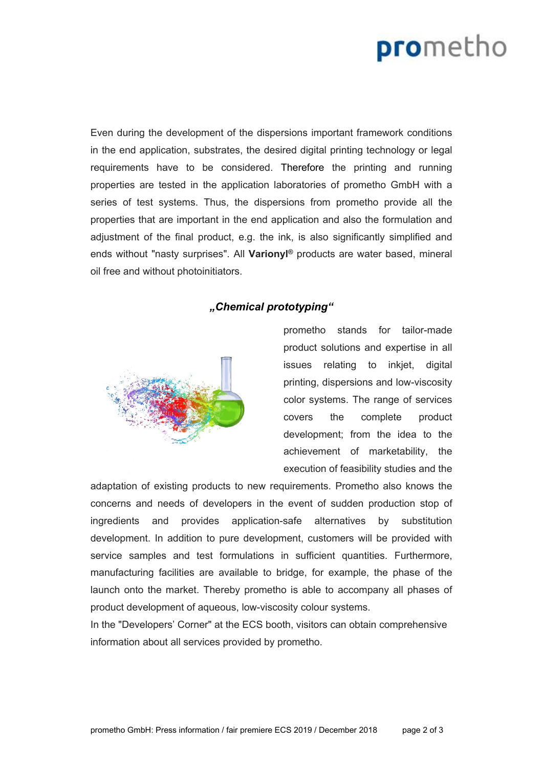## prometho

Even during the development of the dispersions important framework conditions in the end application, substrates, the desired digital printing technology or legal requirements have to be considered. Therefore the printing and running properties are tested in the application laboratories of prometho GmbH with a series of test systems. Thus, the dispersions from prometho provide all the properties that are important in the end application and also the formulation and adjustment of the final product, e.g. the ink, is also significantly simplified and ends without "nasty surprises". All **Varionyl ®** products are water based, mineral oil free and without photoinitiators.

### *Chemical prototyping*



prometho stands for tailor-made product solutions and expertise in all issues relating to inkiet, digital printing, dispersions and low-viscosity color systems. The range of services covers the complete product development; from the idea to the achievement of marketability, the execution of feasibility studies and the

adaptation of existing products to new requirements. Prometho also knows the concerns and needs of developers in the event of sudden production stop of ingredients and provides application-safe alternatives by substitution development. In addition to pure development, customers will be provided with service samples and test formulations in sufficient quantities. Furthermore, manufacturing facilities are available to bridge, for example, the phase of the launch onto the market. Thereby prometho is able to accompany all phases of product development of aqueous, low-viscosity colour systems.

In the "Developers' Corner" at the ECS booth, visitors can obtain comprehensive information about all services provided by prometho.